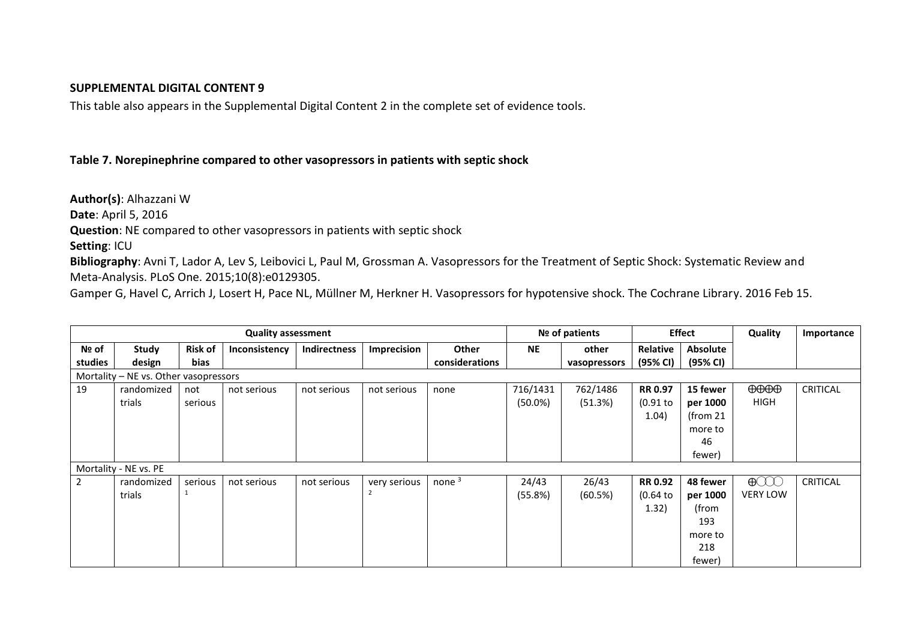## **SUPPLEMENTAL DIGITAL CONTENT 9**

This table also appears in the Supplemental Digital Content 2 in the complete set of evidence tools.

## **Table 7. Norepinephrine compared to other vasopressors in patients with septic shock**

**Author(s)**: Alhazzani W **Date**: April 5, 2016 **Question**: NE compared to other vasopressors in patients with septic shock **Setting**: ICU

**Bibliography**: Avni T, Lador A, Lev S, Leibovici L, Paul M, Grossman A. Vasopressors for the Treatment of Septic Shock: Systematic Review and Meta-Analysis. PLoS One. 2015;10(8):e0129305.

Gamper G, Havel C, Arrich J, Losert H, Pace NL, Müllner M, Herkner H. Vasopressors for hypotensive shock. The Cochrane Library. 2016 Feb 15.

| <b>Quality assessment</b>             |            |                |               |              |              |                |            | Nº of patients |                | <b>Effect</b>   |                               | Importance      |
|---------------------------------------|------------|----------------|---------------|--------------|--------------|----------------|------------|----------------|----------------|-----------------|-------------------------------|-----------------|
| Nº of                                 | Study      | <b>Risk of</b> | Inconsistency | Indirectness | Imprecision  | <b>Other</b>   | <b>NE</b>  | other          | Relative       | <b>Absolute</b> |                               |                 |
| studies                               | design     | bias           |               |              |              | considerations |            | vasopressors   | (95% CI)       | (95% CI)        |                               |                 |
| Mortality - NE vs. Other vasopressors |            |                |               |              |              |                |            |                |                |                 |                               |                 |
| 19                                    | randomized | not            | not serious   | not serious  | not serious  | none           | 716/1431   | 762/1486       | <b>RR 0.97</b> | 15 fewer        | $\theta \theta \theta \theta$ | <b>CRITICAL</b> |
|                                       | trials     | serious        |               |              |              |                | $(50.0\%)$ | (51.3%)        | $(0.91$ to     | per 1000        | <b>HIGH</b>                   |                 |
|                                       |            |                |               |              |              |                |            |                | 1.04)          | (from $21$      |                               |                 |
|                                       |            |                |               |              |              |                |            |                |                | more to         |                               |                 |
|                                       |            |                |               |              |              |                |            |                |                | 46              |                               |                 |
|                                       |            |                |               |              |              |                |            |                |                | fewer)          |                               |                 |
| Mortality - NE vs. PE                 |            |                |               |              |              |                |            |                |                |                 |                               |                 |
| $\overline{2}$                        | randomized | serious        | not serious   | not serious  | very serious | none $3$       | 24/43      | 26/43          | <b>RR 0.92</b> | 48 fewer        | $\bigoplus$                   | <b>CRITICAL</b> |
|                                       | trials     |                |               |              | 2            |                | (55.8%)    | (60.5%)        | (0.64)         | per 1000        | <b>VERY LOW</b>               |                 |
|                                       |            |                |               |              |              |                |            |                | 1.32)          | (from           |                               |                 |
|                                       |            |                |               |              |              |                |            |                |                | 193             |                               |                 |
|                                       |            |                |               |              |              |                |            |                |                | more to         |                               |                 |
|                                       |            |                |               |              |              |                |            |                |                | 218             |                               |                 |
|                                       |            |                |               |              |              |                |            |                |                | fewer)          |                               |                 |